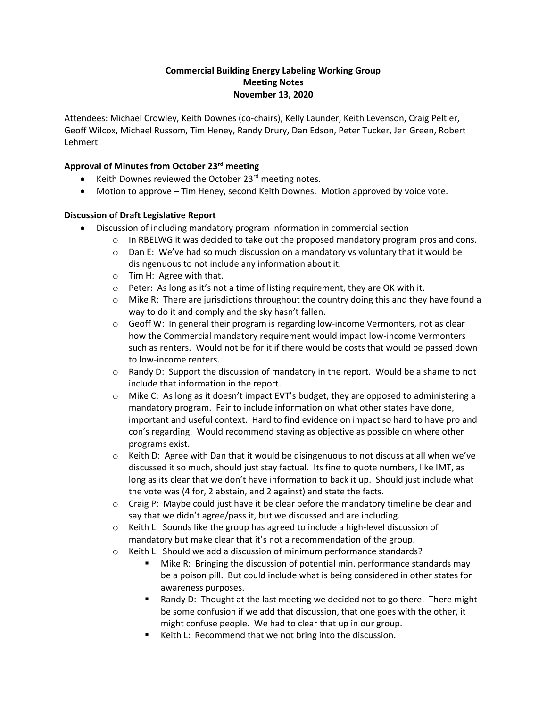## **Commercial Building Energy Labeling Working Group Meeting Notes November 13, 2020**

Attendees: Michael Crowley, Keith Downes (co-chairs), Kelly Launder, Keith Levenson, Craig Peltier, Geoff Wilcox, Michael Russom, Tim Heney, Randy Drury, Dan Edson, Peter Tucker, Jen Green, Robert Lehmert

## **Approval of Minutes from October 23rd meeting**

- Keith Downes reviewed the October 23<sup>rd</sup> meeting notes.
- Motion to approve Tim Heney, second Keith Downes. Motion approved by voice vote.

## **Discussion of Draft Legislative Report**

- Discussion of including mandatory program information in commercial section
	- $\circ$  In RBELWG it was decided to take out the proposed mandatory program pros and cons.
	- $\circ$  Dan E: We've had so much discussion on a mandatory vs voluntary that it would be disingenuous to not include any information about it.
	- o Tim H: Agree with that.
	- o Peter: As long as it's not a time of listing requirement, they are OK with it.
	- $\circ$  Mike R: There are jurisdictions throughout the country doing this and they have found a way to do it and comply and the sky hasn't fallen.
	- $\circ$  Geoff W: In general their program is regarding low-income Vermonters, not as clear how the Commercial mandatory requirement would impact low-income Vermonters such as renters. Would not be for it if there would be costs that would be passed down to low-income renters.
	- $\circ$  Randy D: Support the discussion of mandatory in the report. Would be a shame to not include that information in the report.
	- $\circ$  Mike C: As long as it doesn't impact EVT's budget, they are opposed to administering a mandatory program. Fair to include information on what other states have done, important and useful context. Hard to find evidence on impact so hard to have pro and con's regarding. Would recommend staying as objective as possible on where other programs exist.
	- $\circ$  Keith D: Agree with Dan that it would be disingenuous to not discuss at all when we've discussed it so much, should just stay factual. Its fine to quote numbers, like IMT, as long as its clear that we don't have information to back it up. Should just include what the vote was (4 for, 2 abstain, and 2 against) and state the facts.
	- $\circ$  Craig P: Maybe could just have it be clear before the mandatory timeline be clear and say that we didn't agree/pass it, but we discussed and are including.
	- $\circ$  Keith L: Sounds like the group has agreed to include a high-level discussion of mandatory but make clear that it's not a recommendation of the group.
	- o Keith L: Should we add a discussion of minimum performance standards?
		- Mike R: Bringing the discussion of potential min. performance standards may be a poison pill. But could include what is being considered in other states for awareness purposes.
		- Randy D: Thought at the last meeting we decided not to go there. There might be some confusion if we add that discussion, that one goes with the other, it might confuse people. We had to clear that up in our group.
		- Keith L: Recommend that we not bring into the discussion.